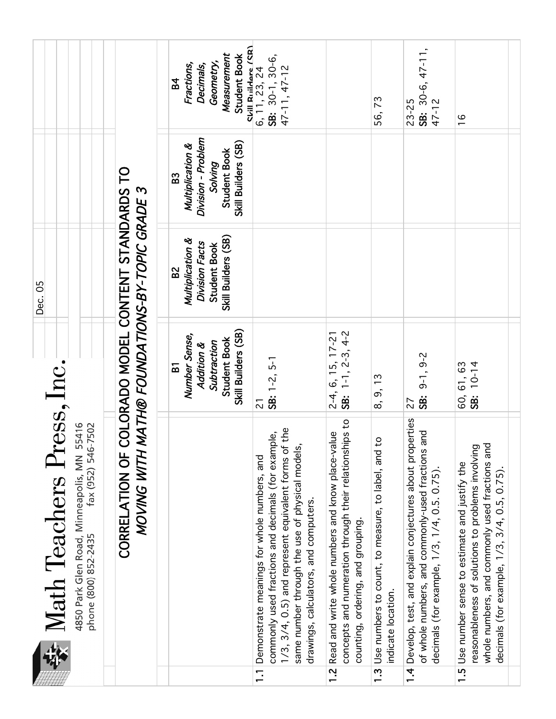|                                                                                                                       |                                                                           | Measurement<br>Student Book<br>Geometry,<br>Fractions,<br>Decimals,<br><b>B4</b>                           | Skill Ruildare (SR)<br>6, 11, 23, 24<br>$SB: 30-1, 30-6,$<br>47-11, 47-12                                                                                                                                                                                                 |                                                                                                                                                     | 56,73                                                                                                    | SB: 30-6, 47-11,<br>47-12<br>$23 - 25$                                                                                                                             | $\frac{6}{1}$                                                                                                                                                                                          |
|-----------------------------------------------------------------------------------------------------------------------|---------------------------------------------------------------------------|------------------------------------------------------------------------------------------------------------|---------------------------------------------------------------------------------------------------------------------------------------------------------------------------------------------------------------------------------------------------------------------------|-----------------------------------------------------------------------------------------------------------------------------------------------------|----------------------------------------------------------------------------------------------------------|--------------------------------------------------------------------------------------------------------------------------------------------------------------------|--------------------------------------------------------------------------------------------------------------------------------------------------------------------------------------------------------|
|                                                                                                                       |                                                                           | Division - Problem<br>Skill Builders (SB)<br>Multiplication &<br>Student Book<br>Solving<br>B <sub>3</sub> |                                                                                                                                                                                                                                                                           |                                                                                                                                                     |                                                                                                          |                                                                                                                                                                    |                                                                                                                                                                                                        |
| Dec. 05                                                                                                               |                                                                           | Skill Builders (SB)<br>Multiplication &<br>Division Facts<br>Student Book<br>B <sup>2</sup>                |                                                                                                                                                                                                                                                                           |                                                                                                                                                     |                                                                                                          |                                                                                                                                                                    |                                                                                                                                                                                                        |
|                                                                                                                       | COLORADO MODEL CONTENT STANDARDS TO<br>MATH® FOUNDATIONS-BY-TOPIC GRADE 3 | Skill Builders (SB)<br>Number Sense,<br><b>Student Book</b><br>Subtraction<br>Addition &<br>$\overline{B}$ | SB: $1-2$ , $5-1$<br>$\overline{c}$                                                                                                                                                                                                                                       | SB: $1-1$ , $2-3$ , $4-2$<br>$2-4, 6, 15, 17-21$                                                                                                    | 8, 9, 13                                                                                                 | $9-1, 9-2$<br><b>SB:</b><br>27                                                                                                                                     | $\begin{bmatrix} 60, 61, 63 \\ \textbf{SE} \end{bmatrix}$<br>$\begin{bmatrix} 0-14 \\ \end{bmatrix}$                                                                                                   |
| Math Teachers Press, Inc.<br>fax (952) 546-7502<br>4850 Park Glen Road, Minneapolis, MN 55416<br>phone (800) 852-2435 | MOVING WITH<br>CORRELATION OF                                             |                                                                                                            | 1/3, 3/4, 0.5) and represent equivalent forms of the<br>commonly used fractions and decimals (for example,<br>same number through the use of physical models,<br>Demonstrate meanings for whole numbers, and<br>drawings, calculators, and computers.<br>$\overline{1}$ . | concepts and numeration through their relationships to<br>1.2 Read and write whole numbers and know place-value<br>counting, ordering, and grouping | $\overline{c}$<br>Use numbers to count, to measure, to label, and<br>indicate location.<br>$\frac{3}{2}$ | 1.4 Develop, test, and explain conjectures about properties<br>and<br>of whole numbers, and commonly-used fractions<br>decimals (for example, 1/3, 1/4, 0.5. 0.75) | whole numbers, and commonly used fractions and<br>reasonableness of solutions to problems involving<br>1.5 Use number sense to estimate and justify the<br>decimals (for example, 1/3, 3/4, 0.5, 0.75) |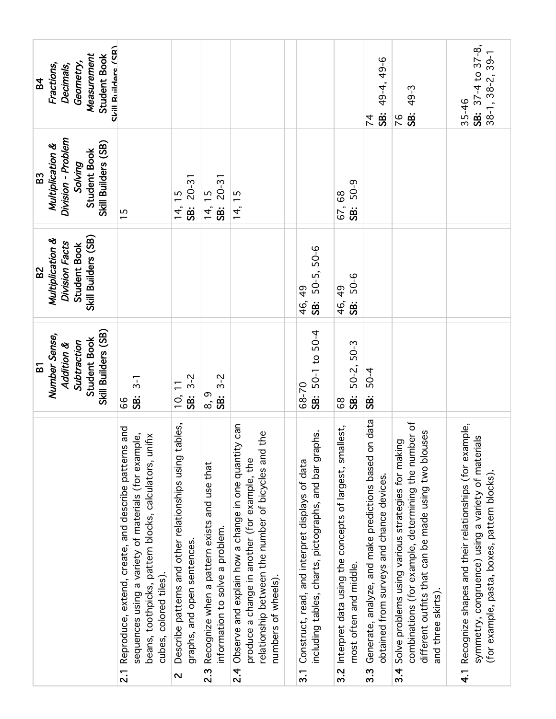| Chill Ruildare (CR)<br>Measurement<br><b>Student Book</b><br>Geometry,<br>Fractions,<br>Decimals,<br><b>B4</b>    |                                                                                                                                                                                                 |                                                                                        |                                                                                 |                                                                                                                                                                                            |                                                                                                                |                                                                                   | 49-4, 49-6<br>ġ<br>$\overline{7}$                                                                  | 49-3<br>SB:<br>76                                                                                                                                                                        | SB: 37-4 to 37-8,<br>$38-1, 38-2, 39-1$<br>35-46                                                                                                            |
|-------------------------------------------------------------------------------------------------------------------|-------------------------------------------------------------------------------------------------------------------------------------------------------------------------------------------------|----------------------------------------------------------------------------------------|---------------------------------------------------------------------------------|--------------------------------------------------------------------------------------------------------------------------------------------------------------------------------------------|----------------------------------------------------------------------------------------------------------------|-----------------------------------------------------------------------------------|----------------------------------------------------------------------------------------------------|------------------------------------------------------------------------------------------------------------------------------------------------------------------------------------------|-------------------------------------------------------------------------------------------------------------------------------------------------------------|
| Division - Problem<br>Skill Builders (SB)<br>Multiplication &<br><b>Student Book</b><br>Solving<br>B <sub>3</sub> | $\overline{15}$                                                                                                                                                                                 | $20 - 31$<br>$\overline{1}$<br>.<br>පි<br>14,                                          | $20 - 31$<br>14, 15<br>SB:                                                      | 14, 15                                                                                                                                                                                     |                                                                                                                | 50-9<br>67,68<br>.<br>SB:                                                         |                                                                                                    |                                                                                                                                                                                          |                                                                                                                                                             |
| Skill Builders (SB)<br>Multiplication &<br>Division Facts<br><b>Student Book</b><br>B <sup>2</sup>                |                                                                                                                                                                                                 |                                                                                        |                                                                                 |                                                                                                                                                                                            | SB: 50-5, 50-6<br>46, 49                                                                                       | 50-6<br>46, 49<br>.<br>98                                                         |                                                                                                    |                                                                                                                                                                                          |                                                                                                                                                             |
| Skill Builders (SB)<br>Number Sense,<br><b>Student Book</b><br>Subtraction<br>Addition &<br>51                    | $3 - 1$<br>SB:<br>99                                                                                                                                                                            | $3 - 2$<br>.<br>88<br>$\overline{0}$                                                   | $3 - 2$<br>စ,<br>စ<br><b>SB:</b>                                                |                                                                                                                                                                                            | SB: 50-1 to 50-4<br>68-70                                                                                      | 50-2, 50-3<br><b>SB:</b><br>89                                                    | $50 - 4$<br>ġ.                                                                                     |                                                                                                                                                                                          |                                                                                                                                                             |
|                                                                                                                   | Reproduce, extend, create, and describe patterns and<br>sequences using a variety of materials (for example,<br>beans, toothpicks, pattern blocks, calculators, unifix<br>cubes, colored tiles) | Describe patterns and other relationships using tables,<br>graphs, and open sentences. | Recognize when a pattern exists and use that<br>information to solve a problem. | 2.4 Observe and explain how a change in one quantity can<br>the<br>relationship between the number of bicycles and<br>produce a change in another (for example, the<br>numbers of wheels). | phs.<br>including tables, charts, pictographs, and bar grap<br>Construct, read, and interpret displays of data | Interpret data using the concepts of largest, smallest,<br>most often and middle. | Generate, analyze, and make predictions based on data<br>obtained from surveys and chance devices. | combinations (for example, determining the number of<br>different outfits that can be made using two blouses<br>Solve problems using various strategies for making<br>and three skirts). | Recognize shapes and their relationships (for example,<br>symmetry, congruence) using a variety of materials<br>(for example, pasta, boxes, pattern blocks) |
|                                                                                                                   | $\overline{2}$                                                                                                                                                                                  | $\overline{\mathbf{C}}$                                                                | $\overline{2.3}$                                                                |                                                                                                                                                                                            | $\overline{3}$ .                                                                                               | $\overline{3.2}$                                                                  | $3.\overline{3}$                                                                                   | $\overline{3.4}$                                                                                                                                                                         | $\frac{4}{1}$                                                                                                                                               |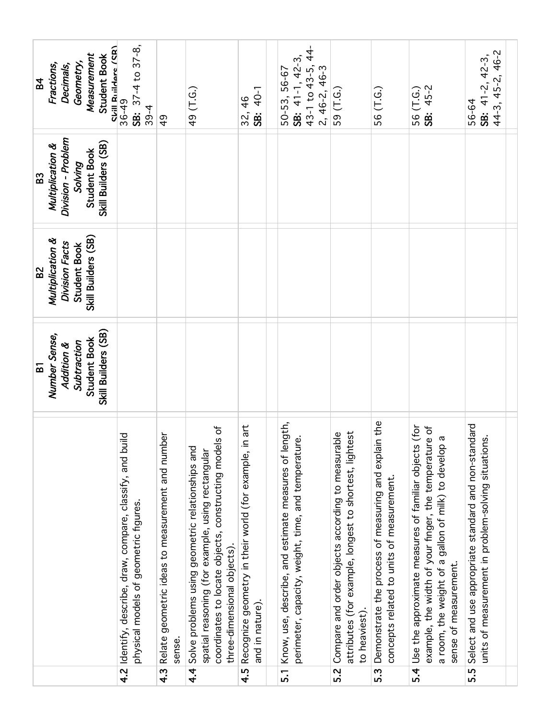| SB: 37-4 to 37-8,<br>Skill Ruildare (SR)<br>Measurement<br><b>Student Book</b><br>SB: $41-1$ , $42-3$ ,<br>Geometry,<br>Fractions,<br>Decimals,<br>43-1 to 43-5,<br>$2, 46-2, 46-3$<br>50-53, 56-67<br><b>B4</b><br>56 (T.G.)<br>49 (T.G.)<br>SB: 40-1<br>59 (T.G.)<br>36-49<br>$\frac{4}{6}$<br>$39 - 4$<br>32,<br>$\frac{6}{7}$                                                                                                                                                                                                                                                                                                                                                                                                                                                                                                                                                               | SB: 45-2<br>56 (T.G.)                                                                                                                                                                                                                       | 44-3, 45-2, 46-2<br>SB: $41-2$ , $42-3$ ,<br>56-64                                                                 |
|-------------------------------------------------------------------------------------------------------------------------------------------------------------------------------------------------------------------------------------------------------------------------------------------------------------------------------------------------------------------------------------------------------------------------------------------------------------------------------------------------------------------------------------------------------------------------------------------------------------------------------------------------------------------------------------------------------------------------------------------------------------------------------------------------------------------------------------------------------------------------------------------------|---------------------------------------------------------------------------------------------------------------------------------------------------------------------------------------------------------------------------------------------|--------------------------------------------------------------------------------------------------------------------|
| Division - Problem<br>Skill Builders (SB)<br>Multiplication &<br>Student Book<br>Solving<br>B <sub>3</sub>                                                                                                                                                                                                                                                                                                                                                                                                                                                                                                                                                                                                                                                                                                                                                                                      |                                                                                                                                                                                                                                             |                                                                                                                    |
| Skill Builders (SB)<br>Multiplication &<br>Division Facts<br><b>Student Book</b><br>B <sup>2</sup>                                                                                                                                                                                                                                                                                                                                                                                                                                                                                                                                                                                                                                                                                                                                                                                              |                                                                                                                                                                                                                                             |                                                                                                                    |
| Skill Builders (SB)<br>Number Sense,<br><b>Student Book</b><br>Subtraction<br>Addition &<br>5                                                                                                                                                                                                                                                                                                                                                                                                                                                                                                                                                                                                                                                                                                                                                                                                   |                                                                                                                                                                                                                                             |                                                                                                                    |
| Demonstrate the process of measuring and explain the<br>Know, use, describe, and estimate measures of length,<br>in art<br>coordinates to locate objects, constructing models of<br>est<br>Compare and order objects according to measurable<br>Relate geometric ideas to measurement and number<br>4.2 Identify, describe, draw, compare, classify, and build<br>perimeter, capacity, weight, time, and temperature.<br>Solve problems using geometric relationships and<br>attributes (for example, longest to shortest, light<br>spatial reasoning (for example, using rectangular<br>Recognize geometry in their world (for example,<br>concepts related to units of measurement.<br>physical models of geometric figures<br>three-dimensional objects).<br>and in nature).<br>to heaviest)<br>sense.<br>$\frac{4}{3}$<br>$\overline{3}$<br>$\frac{4}{1}$<br>4.5<br>5.2<br>$\overline{5}$ . | Use the approximate measures of familiar objects (for<br>to e<br>$\boldsymbol{\varpi}$<br>example, the width of your finger, the temperatur<br>a room, the weight of a gallon of milk) to develop<br>sense of measurement.<br>$\frac{4}{3}$ | Select and use appropriate standard and non-standard<br>units of measurement in problem-solving situations.<br>5.5 |